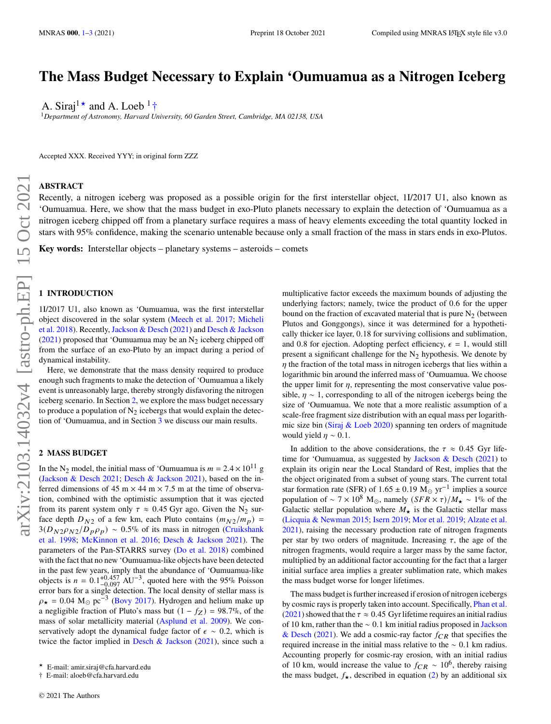# **The Mass Budget Necessary to Explain 'Oumuamua as a Nitrogen Iceberg**

A. Siraj<sup>1\*</sup> and A. Loeb<sup>1</sup>†

<sup>1</sup>*Department of Astronomy, Harvard University, 60 Garden Street, Cambridge, MA 02138, USA*

Accepted XXX. Received YYY; in original form ZZZ

### **ABSTRACT**

Recently, a nitrogen iceberg was proposed as a possible origin for the first interstellar object, 1I/2017 U1, also known as 'Oumuamua. Here, we show that the mass budget in exo-Pluto planets necessary to explain the detection of 'Oumuamua as a nitrogen iceberg chipped off from a planetary surface requires a mass of heavy elements exceeding the total quantity locked in stars with 95% confidence, making the scenario untenable because only a small fraction of the mass in stars ends in exo-Plutos.

**Key words:** Interstellar objects – planetary systems – asteroids – comets

### <span id="page-0-0"></span>**1 INTRODUCTION**

1I/2017 U1, also known as 'Oumuamua, was the first interstellar object discovered in the solar system [\(Meech et al.](#page-2-0) [2017;](#page-2-0) [Micheli](#page-2-1) [et al.](#page-2-1) [2018\)](#page-2-1). Recently, [Jackson & Desch](#page-2-2) [\(2021\)](#page-2-2) and [Desch & Jackson](#page-2-3) [\(2021\)](#page-2-3) proposed that 'Oumuamua may be an  $N<sub>2</sub>$  iceberg chipped off from the surface of an exo-Pluto by an impact during a period of dynamical instability.

Here, we demonstrate that the mass density required to produce enough such fragments to make the detection of 'Oumuamua a likely event is unreasonably large, thereby strongly disfavoring the nitrogen iceberg scenario. In Section [2,](#page-0-1) we explore the mass budget necessary to produce a population of  $N_2$  icebergs that would explain the detection of 'Oumuamua, and in Section [3](#page-1-0) we discuss our main results.

#### <span id="page-0-1"></span>**2 MASS BUDGET**

In the N<sub>2</sub> model, the initial mass of 'Oumuamua is  $m = 2.4 \times 10^{11}$  g [\(Jackson & Desch](#page-2-2) [2021;](#page-2-2) [Desch & Jackson](#page-2-3) [2021\)](#page-2-3), based on the inferred dimensions of 45 m  $\times$  44 m  $\times$  7.5 m at the time of observation, combined with the optimistic assumption that it was ejected from its parent system only  $\tau \approx 0.45$  Gyr ago. Given the N<sub>2</sub> surface depth  $D_{N2}$  of a few km, each Pluto contains  $(m_{N2}/m_p)$  =  $3(D_{N2}\rho_{N2}/D_p\rho_p) \sim 0.5\%$  of its mass in nitrogen [\(Cruikshank](#page-2-4) [et al.](#page-2-4) [1998;](#page-2-4) [McKinnon et al.](#page-2-5) [2016;](#page-2-5) [Desch & Jackson](#page-2-3) [2021\)](#page-2-3). The parameters of the Pan-STARRS survey [\(Do et al.](#page-2-6) [2018\)](#page-2-6) combined with the fact that no new 'Oumuamua-like objects have been detected in the past few years, imply that the abundance of 'Oumuamua-like objects is  $n = 0.1^{+0.457}_{-0.097}$  AU<sup>-3</sup>, quoted here with the 95% Poisson error bars for a single detection. The local density of stellar mass is  $\rho_{\star} = 0.04 \text{ M}_{\odot} \text{ pc}^{-3}$  [\(Bovy](#page-2-7) [2017\)](#page-2-7). Hydrogen and helium make up a negligible fraction of Pluto's mass but  $(1 - f_Z) = 98.7\%$ , of the mass of solar metallicity material [\(Asplund et al.](#page-2-8) [2009\)](#page-2-8). We conservatively adopt the dynamical fudge factor of  $\epsilon \sim 0.2$ , which is twice the factor implied in [Desch & Jackson](#page-2-3)  $(2021)$ , since such a multiplicative factor exceeds the maximum bounds of adjusting the underlying factors; namely, twice the product of 0.6 for the upper bound on the fraction of excavated material that is pure  $N_2$  (between Plutos and Gonggongs), since it was determined for a hypothetically thicker ice layer, 0.18 for surviving collisions and sublimation, and 0.8 for ejection. Adopting perfect efficiency,  $\epsilon = 1$ , would still present a significant challenge for the  $N<sub>2</sub>$  hypothesis. We denote by  $\eta$  the fraction of the total mass in nitrogen icebergs that lies within a logarithmic bin around the inferred mass of 'Oumuamua. We choose the upper limit for  $\eta$ , representing the most conservative value possible,  $\eta \sim 1$ , corresponding to all of the nitrogen icebergs being the size of 'Oumuamua. We note that a more realistic assumption of a scale-free fragment size distribution with an equal mass per logarithmic size bin [\(Siraj & Loeb](#page-2-9) [2020\)](#page-2-9) spanning ten orders of magnitude would yield  $\eta \sim 0.1$ .

In addition to the above considerations, the  $\tau \approx 0.45$  Gyr lifetime for 'Oumuamua, as suggested by [Jackson & Desch](#page-2-2) [\(2021\)](#page-2-2) to explain its origin near the Local Standard of Rest, implies that the the object originated from a subset of young stars. The current total star formation rate (SFR) of 1.65 ± 0.19 M<sub>☉</sub> yr<sup>-1</sup> implies a source population of ~ 7 × 10<sup>8</sup> M<sub>☉</sub>, namely  $(SFR \times \tau)/M_{\star} \sim 1\%$  of the Galactic stellar population where  $M_{\star}$  is the Galactic stellar mass [\(Licquia & Newman](#page-2-10) [2015;](#page-2-10) [Isern](#page-2-11) [2019;](#page-2-11) [Mor et al.](#page-2-12) [2019;](#page-2-12) [Alzate et al.](#page-2-13) [2021\)](#page-2-13), raising the necessary production rate of nitrogen fragments per star by two orders of magnitude. Increasing  $\tau$ , the age of the nitrogen fragments, would require a larger mass by the same factor, multiplied by an additional factor accounting for the fact that a larger initial surface area implies a greater sublimation rate, which makes the mass budget worse for longer lifetimes.

The mass budget is further increased if erosion of nitrogen icebergs by cosmic rays is properly taken into account. Specifically, [Phan et al.](#page-2-14) [\(2021\)](#page-2-14) showed that the  $\tau \approx 0.45$  Gyr lifetime requires an initial radius of 10 km, rather than the  $\sim 0.1$  km initial radius proposed in [Jackson](#page-2-2) [& Desch](#page-2-2) [\(2021\)](#page-2-2). We add a cosmic-ray factor  $f_{CR}$  that specifies the required increase in the initial mass relative to the ∼ 0.1 km radius. Accounting properly for cosmic-ray erosion, with an initial radius of 10 km, would increase the value to  $f_{CR} \sim 10^6$ , thereby raising the mass budget,  $f_{\star}$ , described in equation [\(2\)](#page-1-1) by an additional six

<sup>★</sup> E-mail: amir.siraj@cfa.harvard.edu

<sup>†</sup> E-mail: aloeb@cfa.harvard.edu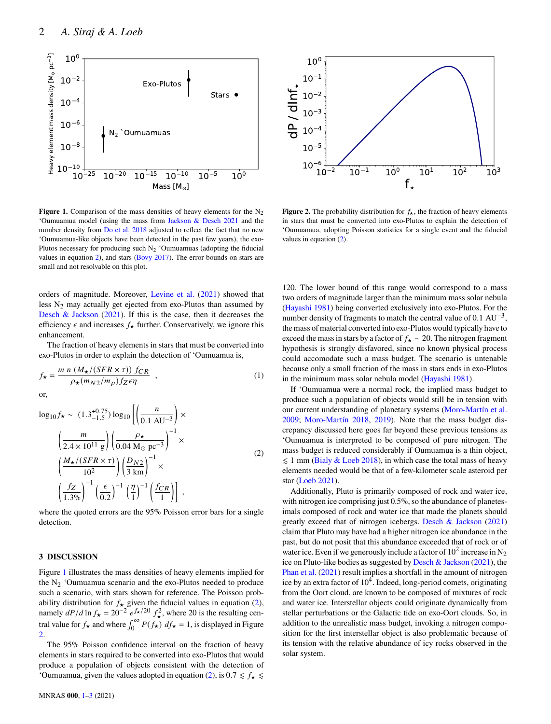

<span id="page-1-2"></span>**Figure 1.** Comparison of the mass densities of heavy elements for the  $N_2$ 'Oumuamua model (using the mass from [Jackson & Desch](#page-2-2) [2021](#page-2-2) and the number density from [Do et al.](#page-2-6) [2018](#page-2-6) adjusted to reflect the fact that no new 'Oumuamua-like objects have been detected in the past few years), the exo-Plutos necessary for producing such  $N_2$  'Oumuamuas (adopting the fiducial values in equation [2\)](#page-1-1), and stars [\(Bovy](#page-2-7) [2017\)](#page-2-7). The error bounds on stars are small and not resolvable on this plot.

orders of magnitude. Moreover, [Levine et al.](#page-2-15) [\(2021\)](#page-2-15) showed that less  $N_2$  may actually get ejected from exo-Plutos than assumed by [Desch & Jackson](#page-2-3) [\(2021\)](#page-2-3). If this is the case, then it decreases the efficiency  $\epsilon$  and increases  $f_{\star}$  further. Conservatively, we ignore this enhancement.

The fraction of heavy elements in stars that must be converted into exo-Plutos in order to explain the detection of 'Oumuamua is,

$$
f_{\star} = \frac{m n (M_{\star}/(SFR \times \tau)) f_{CR}}{\rho_{\star}(m_{N2}/m_p) f_{Z} \epsilon \eta} , \qquad (1)
$$

$$
\log_{10} f_{\star} \sim (1.3^{+0.75}_{-1.5}) \log_{10} \left[ \left( \frac{n}{0.1 \text{ AU}^{-3}} \right) \times \left( \frac{m}{2.4 \times 10^{11} \text{ g}} \right) \left( \frac{\rho_{\star}}{0.04 \text{ M}_{\odot} \text{ pc}^{-3}} \right)^{-1} \times \left( \frac{M_{\star}/(SFR \times \tau)}{10^2} \right) \left( \frac{D_{N2}}{3 \text{ km}} \right)^{-1} \times \left( \frac{f_Z}{1.3\%} \right)^{-1} \left( \frac{\epsilon}{0.2} \right)^{-1} \left( \frac{\eta}{1} \right)^{-1} \left( \frac{f_{CR}}{1} \right) \right],
$$
\n(2)

where the quoted errors are the 95% Poisson error bars for a single detection.

#### <span id="page-1-0"></span>**3 DISCUSSION**

Figure [1](#page-1-2) illustrates the mass densities of heavy elements implied for the  $N_2$  'Oumuamua scenario and the exo-Plutos needed to produce such a scenario, with stars shown for reference. The Poisson probability distribution for  $f_{\star}$  given the fiducial values in equation [\(2\)](#page-1-1), namely  $dP/d\ln f_{\star} = 20^{-2} e^{f_{\star}/20} f_{\star}^2$ , where 20 is the resulting central value for  $f_{\star}$  and where  $\int_0^{\infty} P(f_{\star}) df_{\star} = 1$ , is displayed in Figure [2.](#page-1-3)

The 95% Poisson confidence interval on the fraction of heavy elements in stars required to be converted into exo-Plutos that would produce a population of objects consistent with the detection of 'Oumuamua, given the values adopted in equation [\(2\)](#page-1-1), is  $0.7 \le f_{\star} \le$ 



<span id="page-1-3"></span>**Figure 2.** The probability distribution for  $f_{\star}$ , the fraction of heavy elements in stars that must be converted into exo-Plutos to explain the detection of 'Oumuamua, adopting Poisson statistics for a single event and the fiducial values in equation [\(2\)](#page-1-1).

120. The lower bound of this range would correspond to a mass two orders of magnitude larger than the minimum mass solar nebula [\(Hayashi](#page-2-16) [1981\)](#page-2-16) being converted exclusively into exo-Plutos. For the number density of fragments to match the central value of  $0.1 \text{ AU}^{-3}$ , the mass of material converted into exo-Plutos would typically have to exceed the mass in stars by a factor of  $f_{\star} \sim 20$ . The nitrogen fragment hypothesis is strongly disfavored, since no known physical process could accomodate such a mass budget. The scenario is untenable because only a small fraction of the mass in stars ends in exo-Plutos in the minimum mass solar nebula model [\(Hayashi](#page-2-16) [1981\)](#page-2-16).

If 'Oumuamua were a normal rock, the implied mass budget to produce such a population of objects would still be in tension with our current understanding of planetary systems [\(Moro-Martín et al.](#page-2-17) [2009;](#page-2-17) [Moro-Martín](#page-2-18) [2018,](#page-2-18) [2019\)](#page-2-19). Note that the mass budget discrepancy discussed here goes far beyond these previous tensions as 'Oumuamua is interpreted to be composed of pure nitrogen. The mass budget is reduced considerably if Oumuamua is a thin object,  $\leq 1$  mm [\(Bialy & Loeb](#page-2-20) [2018\)](#page-2-20), in which case the total mass of heavy elements needed would be that of a few-kilometer scale asteroid per star [\(Loeb](#page-2-21) [2021\)](#page-2-21).

<span id="page-1-1"></span>Additionally, Pluto is primarily composed of rock and water ice, with nitrogen ice comprising just 0.5%, so the abundance of planetesimals composed of rock and water ice that made the planets should greatly exceed that of nitrogen icebergs. [Desch & Jackson](#page-2-3) [\(2021\)](#page-2-3) claim that Pluto may have had a higher nitrogen ice abundance in the past, but do not posit that this abundance exceeded that of rock or of water ice. Even if we generously include a factor of  $10^2$  increase in N<sub>2</sub> ice on Pluto-like bodies as suggested by [Desch & Jackson](#page-2-3) [\(2021\)](#page-2-3), the [Phan et al.](#page-2-14) [\(2021\)](#page-2-14) result implies a shortfall in the amount of nitrogen ice by an extra factor of  $10^4$ . Indeed, long-period comets, originating from the Oort cloud, are known to be composed of mixtures of rock and water ice. Interstellar objects could originate dynamically from stellar perturbations or the Galactic tide on exo-Oort clouds. So, in addition to the unrealistic mass budget, invoking a nitrogen composition for the first interstellar object is also problematic because of its tension with the relative abundance of icy rocks observed in the solar system.